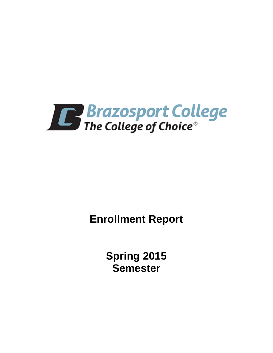

**Enrollment Report**

**Spring 2015 Semester**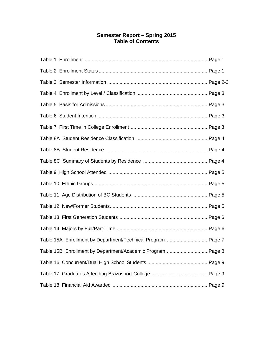# **Semester Report – Spring 2015 Table of Contents**

| Table 15A Enrollment by Department/Technical Program Page 7 |  |
|-------------------------------------------------------------|--|
| Table 15B Enrollment by Department/Academic ProgramPage 8   |  |
|                                                             |  |
|                                                             |  |
|                                                             |  |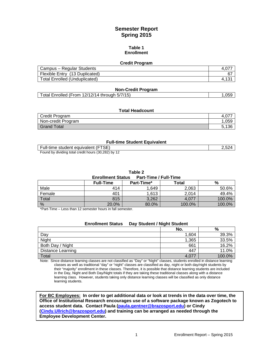# **Semester Report Spring 2015**

#### **Table 1 Enrollment**

#### **Credit Program**

| Campus – Regular Students            |    |
|--------------------------------------|----|
| Flexible Entry (13 Duplicated)       | 67 |
| <b>Total Enrolled (Unduplicated)</b> |    |

#### **Non-Credit Program**

|  | Total Enrolled (From 12/12/14 through 5/7/15) |  | .059 |
|--|-----------------------------------------------|--|------|
|--|-----------------------------------------------|--|------|

#### **Total Headcount**

| Credit Program     |       |
|--------------------|-------|
| Non-credit Program | .059  |
| Grand Total        | E 192 |

#### **Full-time Student Equivalent**

| Full-time student equivalent (FTSE)                 |  |
|-----------------------------------------------------|--|
| Found by dividing total credit hours (30,282) by 12 |  |

**Table 2**

| <b>Part-Time / Full-Time</b><br><b>Enrollment Status</b> |                  |            |        |        |  |
|----------------------------------------------------------|------------------|------------|--------|--------|--|
|                                                          | <b>Full-Time</b> | Part-Time* | Total  | %      |  |
| Male                                                     | 414              | 1.649      | 2,063  | 50.6%  |  |
| Female                                                   | 401              | 1,613      | 2.014  | 49.4%  |  |
| Total                                                    | 815              | 3,262      | 4.077  | 100.0% |  |
| %                                                        | 20.0%            | 80.0%      | 100.0% | 100.0% |  |

\*Part-Time – Less than 12 semester hours in fall semester.

|                          | <b>Enrollment Status</b> | Day Student / Night Student |       |        |
|--------------------------|--------------------------|-----------------------------|-------|--------|
|                          |                          |                             | No.   | %      |
| Day                      |                          |                             | 1.604 | 39.3%  |
| Night                    |                          |                             | 1,365 | 33.5%  |
| Both Day / Night         |                          |                             | 661   | 16.2%  |
| <b>Distance Learning</b> |                          |                             | 447   | 11.0%  |
| Total                    |                          |                             | 4.077 | 100.0% |

Note: Since distance learning classes are not classified as "Day" or "Night" classes, students enrolled in distance learning classes as well as traditional "day" or "night" classes are classified as day, night or both day/night students by their "majority" enrollment in these classes. Therefore, it is possible that distance learning students are included in the Day, Night and Both Day/Night totals if they are taking these traditional classes along with a distance learning class. However, students taking only distance learning classes will be classified as only distance learning students.

**For BC Employees: In order to get additional data or look at trends in the data over time, the Office of Institutional Research encourages use of a software package known as Zogotech to access student data. Contact Paula [\(paula.gentner@brazosport.edu\)](mailto:paula.gentner@brazosport.edu) or Cindy [\(Cindy.Ullrich@brazosport.edu\)](mailto:Cindy.Ullrich@brazosport.edu) and training can be arranged as needed through the Employee Development Center.**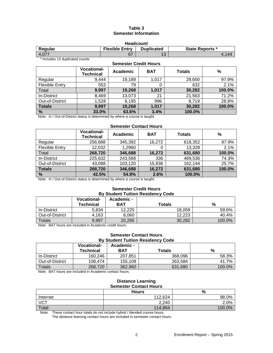# **Table 3 Semester Information**

| <b>Headcount</b>                                                                |  |           |  |  |
|---------------------------------------------------------------------------------|--|-----------|--|--|
| <b>Flexible Entry</b><br><b>Duplicated</b><br><b>State Reports *</b><br>Regular |  |           |  |  |
| 4.077                                                                           |  | 12<br>ں ا |  |  |

\* Includes 13 duplicated counts

# **Semester Credit Hours Vocational-Technical Academic BAT Totals %** Regular 9,444 19,189 1,017 29,650 97.9% Flexible Entry  $\begin{vmatrix} 553 & 79 & 0 & 632 \end{vmatrix}$  2.1% Total **9,997 19,268 1,017 30,282 100.0%** In-District 8,469 13,073 21 21,563 71.2% Out-of-District 1,528 6,195 996 8,719 28.8%<br> **Totals 9,997 19,268 1,017 30,282 100.0% Totals 9,997 19,268 1,017 30,282 100.0% % 33.0% 63.6% 3.4% 100.0%**

Note: In / Out-of-District status is determined by where a course is taught.

# **Semester Contact Hours**

|                       | <b>Vocational-</b><br><b>Technical</b> | Academic | <b>BAT</b> | <b>Totals</b> | $\frac{0}{0}$ |
|-----------------------|----------------------------------------|----------|------------|---------------|---------------|
| Regular               | 256,688                                | 345,392  | 16,272     | 618,352       | 97.9%         |
| <b>Flexible Entry</b> | 12,032                                 | 1,2960   |            | 13,328        | 2.1%          |
| Total                 | 268,720                                | 346,688  | 16,272     | 631,680       | 100.0%        |
| In-District           | 225,632                                | 243,568  | 336        | 469,536       | 74.3%         |
| Out-of-District       | 43,088                                 | 103,120  | 15,936     | 162,144       | 25.7%         |
| <b>Totals</b>         | 268,720                                | 346,688  | 16,272     | 631,680       | 100.0%        |
| %                     | 42.5%                                  | 54.9%    | 2.6%       | 100.0%        |               |

Note: In / Out-of-District status is determined by where a course is taught.

#### **Semester Credit Hours By Student Tuition Residency Code**

|                 | <b>Vocational-</b><br>Technical | <b>Academic -</b><br>BAT | Totals | %      |
|-----------------|---------------------------------|--------------------------|--------|--------|
| In-District     | 5,834                           | 12.225                   | 18,059 | 59.6%  |
| Out-of-District | 4,163                           | 8.060                    | 12.223 | 40.4%  |
| Totals          | 9.997                           | 20.285                   | 30.282 | 100.0% |

Note: BAT hours are included in Academic credit hours.

### **Semester Contact Hours By Student Tuition Residency Code**

|                 | <b>Vocational-</b><br>Technical | Academic -<br>BAT | Totals  | %      |
|-----------------|---------------------------------|-------------------|---------|--------|
| In-District     | 160.246                         | 207.851           | 368.096 | 58.3%  |
| Out-of-District | 108.474                         | 155.109           | 263.584 | 41.7%  |
| <b>Totals</b>   | 268,720                         | 362.960           | 631.680 | 100.0% |

Note: BAT hours are included in Academic contact hours.

#### **Distance Learning Semester Contact Hours**

|                   | <b>Hours</b> | $\frac{0}{0}$ |
|-------------------|--------------|---------------|
| Internet          | 112,624      | 98.0%         |
| $\overline{V}$ CT | 2,240        | 2.0%          |
| Total             | 114,864      | 100.0%        |

Note: These contact hour totals do not include hybrid / blended course hours.

The distance learning contact hours are included in semester contact hours.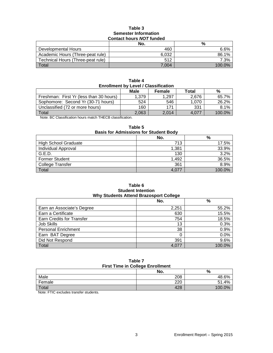### **Table 3 Semester Information Contact hours** *NOT* **funded**

|                                   | No.   | %      |  |  |
|-----------------------------------|-------|--------|--|--|
| Developmental Hours               | 460   | 6.6%   |  |  |
| Academic Hours (Three-peat rule)  | 6.032 | 86.1%  |  |  |
| Technical Hours (Three-peat rule) | 512   | 7.3%   |  |  |
| Total                             | 7.004 | 100.0% |  |  |

| Table 4                                     |  |  |  |
|---------------------------------------------|--|--|--|
| <b>Enrollment by Level / Classification</b> |  |  |  |

|                                                                                                                                | Male  | <b>Female</b> | Total | %      |
|--------------------------------------------------------------------------------------------------------------------------------|-------|---------------|-------|--------|
| Freshman: First Yr (less than 30 hours)                                                                                        | 1.379 | 1.297         | 2.676 | 65.7%  |
| Sophomore: Second Yr (30-71 hours)                                                                                             | 524   | 546           | 1.070 | 26.2%  |
| Unclassified (72 or more hours)                                                                                                | 160   | 171           | 331   | 8.1%   |
| Total                                                                                                                          | 2.063 | 2.014         | 4.077 | 100.0% |
| $\mathbf{a}$ , and $\mathbf{a}$ , and $\mathbf{a}$ , and $\mathbf{a}$ , and $\mathbf{a}$ , and $\mathbf{a}$ , and $\mathbf{a}$ |       |               |       |        |

Note: BC Classification hours match THECB classification.

| <b>Basis for Admissions for Student Body</b> |       |        |  |
|----------------------------------------------|-------|--------|--|
|                                              | No.   | %      |  |
| <b>High School Graduate</b>                  | 713   | 17.5%  |  |
| Individual Approval                          | 1,381 | 33.9%  |  |
| G.E.D.                                       | 130   | 3.2%   |  |
| <b>Former Student</b>                        | 1,492 | 36.5%  |  |
| <b>College Transfer</b>                      | 361   | 8.9%   |  |
| Total                                        | 4.077 | 100.0% |  |

# **Table 5**

#### **Table 6 Student Intention Why Students Attend Brazosport College**

|                                  | No.   | %      |  |  |
|----------------------------------|-------|--------|--|--|
| Earn an Associate's Degree       | 2,251 | 55.2%  |  |  |
| Earn a Certificate               | 630   | 15.5%  |  |  |
| <b>Earn Credits for Transfer</b> | 754   | 18.5%  |  |  |
| Job Skills                       | 13    | 0.3%   |  |  |
| <b>Personal Enrichment</b>       | 38    | 0.9%   |  |  |
| Earn BAT Degree                  |       | 0.0%   |  |  |
| Did Not Respond                  | 391   | 9.6%   |  |  |
| Total                            | 4.077 | 100.0% |  |  |

# **Table 7 First Time in College Enrollment**

| No. | %      |
|-----|--------|
| 208 | 48.6%  |
| 220 | 51.4%  |
| 428 | 100.0% |
|     |        |

Note: FTIC excludes transfer students.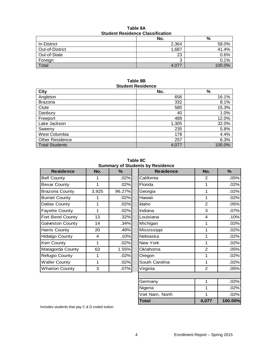| Table 8A                                |  |  |  |
|-----------------------------------------|--|--|--|
| <b>Student Residence Classification</b> |  |  |  |

|                 | No.   | %       |  |  |
|-----------------|-------|---------|--|--|
| In-District     | 2,364 | 58.0%   |  |  |
| Out-of-District | 1,687 | 41.4%   |  |  |
| Out-of-State    | 23    | $0.6\%$ |  |  |
| Foreign         | ົ     | 0.1%    |  |  |
| Total           | 4,07  | 100.0%  |  |  |

#### **Table 8B Student Residence**

| City                   | No.   | $\%$   |
|------------------------|-------|--------|
| Angleton               | 656   | 16.1%  |
| <b>Brazoria</b>        | 332   | 8.1%   |
| Clute                  | 585   | 15.3%  |
| Danbury                | 40    | 1.0%   |
| Freeport               | 489   | 12.0%  |
| Lake Jackson           | 1,305 | 32.0%  |
| Sweeny                 | 235   | 5.8%   |
| West Columbia          | 178   | 4.4%   |
| <b>Other Residence</b> | 257   | 6.3%   |
| <b>Total Students</b>  | 4,077 | 100.0% |

**Table 8C Summary of Students by Residence**

| No.   | ℅       |  |  |  |
|-------|---------|--|--|--|
|       | .02%    |  |  |  |
| 1     | .02%    |  |  |  |
| 3,925 | 96.27%  |  |  |  |
|       | .02%    |  |  |  |
| 1     | .02%    |  |  |  |
| 1     | .02%    |  |  |  |
| 13    | .32%    |  |  |  |
| 14    | .34%    |  |  |  |
| 20    | .49%    |  |  |  |
| 4     | .10%    |  |  |  |
| 1     | .02%    |  |  |  |
| 63    | 1.55%   |  |  |  |
| 1     | .02%    |  |  |  |
| 1     | .02%    |  |  |  |
| 3     | $.07\%$ |  |  |  |
|       |         |  |  |  |

| <b>Residence</b>       | No.          | $\%$   | <b>Residence</b> | No.            | $\%$    |
|------------------------|--------------|--------|------------------|----------------|---------|
| <b>Bell County</b>     | 1            | .02%   | California       | 2              | .05%    |
| <b>Bexar County</b>    | 1            | .02%   | Florida          | 1              | .02%    |
| <b>Brazoria County</b> | 3,925        | 96.27% | Georgia          | 1              | .02%    |
| <b>Burnet County</b>   | 1            | .02%   | Hawaii           | 1              | .02%    |
| Dallas County          | 1            | .02%   | Idaho            | $\overline{2}$ | .05%    |
| <b>Fayette County</b>  | 1            | .02%   | Indiana          | 3              | .07%    |
| Fort Bend County       | 13           | .32%   | Louisiana        | 4              | .10%    |
| Galveston County       | 14           | .34%   | Michigan         | 1              | .02%    |
| Harris County          | 20           | .49%   | Mississippi      | 1              | .02%    |
| Hidalgo County         | 4            | .10%   | Nebraska         | 1              | .02%    |
| Kerr County            | $\mathbf{1}$ | .02%   | New York         | 1              | .02%    |
| Matagorda County       | 63           | 1.55%  | Oklahoma         | $\overline{2}$ | .05%    |
| Refugio County         | 1            | .02%   | Oregon           | 1              | .02%    |
| <b>Waller County</b>   | 1            | .02%   | South Carolina   | 1              | .02%    |
| <b>Wharton County</b>  | 3            | .07%   | Virginia         | $\overline{2}$ | .05%    |
|                        |              |        |                  |                |         |
|                        |              |        | Germany          | 1              | .02%    |
|                        |              |        | Nigeria          | 1              | .02%    |
|                        |              |        | Viet Nam, North  | 1              | .02%    |
|                        |              |        | <b>Total</b>     | 4,077          | 100.00% |

Includes students that pay C & D coded tuition.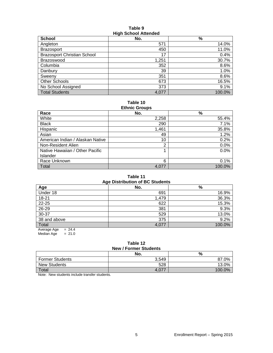#### **Table 9 High School Attended**

| <b>School</b>                      | No.   | $\%$   |
|------------------------------------|-------|--------|
| Angleton                           | 571   | 14.0%  |
| <b>Brazosport</b>                  | 450   | 11.0%  |
| <b>Brazosport Christian School</b> | 17    | 0.4%   |
| Brazoswood                         | 1,251 | 30.7%  |
| Columbia                           | 352   | 8.6%   |
| Danbury                            | 39    | 1.0%   |
| Sweenv                             | 351   | 8.6%   |
| Other Schools                      | 673   | 16.5%  |
| No School Assigned                 | 373   | 9.1%   |
| <b>Total Students</b>              | 4,077 | 100.0% |

#### **Table 10 Ethnic Groups**

| Lunno Oroups                     |       |        |  |  |  |  |
|----------------------------------|-------|--------|--|--|--|--|
| Race                             | No.   | %      |  |  |  |  |
| White                            | 2,258 | 55.4%  |  |  |  |  |
| <b>Black</b>                     | 290   | 7.1%   |  |  |  |  |
| Hispanic                         | 1,461 | 35.8%  |  |  |  |  |
| Asian                            | 49    | 1.2%   |  |  |  |  |
| American Indian / Alaskan Native | 10    | 0.2%   |  |  |  |  |
| Non-Resident Alien               | 2     | 0.0%   |  |  |  |  |
| Native Hawaiian / Other Pacific  |       | 0.0%   |  |  |  |  |
| <b>Islander</b>                  |       |        |  |  |  |  |
| Race Unknown                     | 6     | 0.1%   |  |  |  |  |
| Total                            | 4,077 | 100.0% |  |  |  |  |

#### **Table 11 Age Distribution of BC Students**

| Age Distribution of DC Students |       |        |  |  |  |  |
|---------------------------------|-------|--------|--|--|--|--|
| Age                             | No.   | $\%$   |  |  |  |  |
| Under 18                        | 691   | 16.9%  |  |  |  |  |
| $18 - 21$                       | 1,479 | 36.3%  |  |  |  |  |
| 22-25                           | 622   | 15.3%  |  |  |  |  |
| 26-29                           | 381   | 9.3%   |  |  |  |  |
| 30-37                           | 529   | 13.0%  |  |  |  |  |
| 38 and above                    | 375   | 9.2%   |  |  |  |  |
| Total                           | 4,077 | 100.0% |  |  |  |  |
| $= 24.4$<br>Average Age         |       |        |  |  |  |  |

Median Age  $= 21.0$ 

#### **Table 12 New / Former Students**

|                        | No.   | %         |  |  |  |
|------------------------|-------|-----------|--|--|--|
| <b>Former Students</b> | 3,549 | $.0\%$    |  |  |  |
| <b>New Students</b>    | 528   | 13.0%     |  |  |  |
| Total                  | 4.077 | 100 $0\%$ |  |  |  |

Note: New students include transfer students.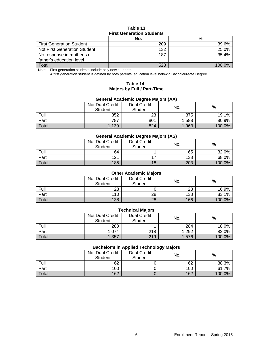# **Table 13 First Generation Students**

|                                 | No. | %      |  |  |  |
|---------------------------------|-----|--------|--|--|--|
| <b>First Generation Student</b> | 209 | 39.6%  |  |  |  |
| Not First Generation Student    | 132 | 25.0%  |  |  |  |
| No response in mother's or      | 187 | 35.4%  |  |  |  |
| father's education level        |     |        |  |  |  |
| Total                           | 528 | 100.0% |  |  |  |

Note: First generation students include only new students.

A first generation student is defined by both parents' education level below a Baccalaureate Degree.

# **Table 14 Majors by Full / Part-Time**

#### **General Academic Degree Majors (AA)**

|       | Not Dual Credit<br><b>Student</b> | <b>Dual Credit</b><br><b>Student</b> | No.   | %      |
|-------|-----------------------------------|--------------------------------------|-------|--------|
| Full  | 352                               | 23                                   | 375   | 19.1%  |
| Part  | 787                               | 801                                  | 1,588 | 80.9%  |
| Total | 1,139                             | 824                                  | 1,963 | 100.0% |

#### **General Academic Degree Majors (AS)**

|       | Not Dual Credit<br><b>Student</b> | <b>Dual Credit</b><br><b>Student</b> | No. | %      |
|-------|-----------------------------------|--------------------------------------|-----|--------|
| Full  | 64                                |                                      | 65  | 32.0%  |
| Part  | 121                               |                                      | 138 | 68.0%  |
| Total | 185                               | 18                                   | 203 | 100.0% |

# **Other Academic Majors**

|       | Not Dual Credit<br>Student | <b>Dual Credit</b><br>Student | No. | %      |
|-------|----------------------------|-------------------------------|-----|--------|
| Full  | 28                         |                               | 28  | 16.9%  |
| Part  | 110                        | 28                            | 138 | 83.1%  |
| Total | 138                        | 28                            | 166 | 100.0% |

# **Technical Majors**

|       | Not Dual Credit<br>Student | <b>Dual Credit</b><br>Student | No.   | %      |
|-------|----------------------------|-------------------------------|-------|--------|
| Full  | 283                        |                               | 284   | 18.0%  |
| Part  | 1.074                      | 218                           | 1,292 | 82.0%  |
| Total | 1.357                      | 219                           | 1,576 | 100.0% |

## **Bachelor's in Applied Technology Majors**

|       | Not Dual Credit<br><b>Student</b> | <b>Dual Credit</b><br>Student | --<br>No. | %      |
|-------|-----------------------------------|-------------------------------|-----------|--------|
| Full  | 62                                |                               | 62        | 38.3%  |
| Part  | 100                               |                               | 100       | 61.7%  |
| Total | 162                               |                               | 162       | 100.0% |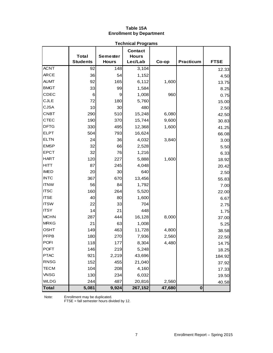# **Table 15A Enrollment by Department**

| <b>Technical Programs</b> |                                 |                                 |                                           |        |             |             |  |  |
|---------------------------|---------------------------------|---------------------------------|-------------------------------------------|--------|-------------|-------------|--|--|
|                           | <b>Total</b><br><b>Students</b> | <b>Semester</b><br><b>Hours</b> | <b>Contact</b><br><b>Hours</b><br>Lec/Lab | Co-op  | Practicum   | <b>FTSE</b> |  |  |
| <b>ACNT</b>               | 92                              | 148                             | 3,104                                     |        |             | 12.33       |  |  |
| <b>ARCE</b>               | 36                              | 54                              | 1,152                                     |        |             | 4.50        |  |  |
| <b>AUMT</b>               | 92                              | 165                             | 6,112                                     | 1,600  |             | 13.75       |  |  |
| <b>BMGT</b>               | 33                              | 99                              | 1,584                                     |        |             | 8.25        |  |  |
| CDEC                      | 6                               | 9                               | 1,008                                     | 960    |             | 0.75        |  |  |
| <b>CJLE</b>               | 72                              | 180                             | 5,760                                     |        |             | 15.00       |  |  |
| <b>CJSA</b>               | 10                              | 30                              | 480                                       |        |             | 2.50        |  |  |
| <b>CNBT</b>               | 290                             | 510                             | 15,248                                    | 6,080  |             | 42.50       |  |  |
| <b>CTEC</b>               | 190                             | 370                             | 15,744                                    | 9,600  |             | 30.83       |  |  |
| <b>DFTG</b>               | 330                             | 495                             | 12,368                                    | 1,600  |             | 41.25       |  |  |
| <b>ELPT</b>               | 504                             | 793                             | 16,624                                    |        |             | 66.08       |  |  |
| <b>ELTN</b>               | 24                              | 36                              | 4,032                                     | 3,840  |             | 3.00        |  |  |
| <b>EMSP</b>               | 32                              | 66                              | 2,528                                     |        |             | 5.50        |  |  |
| <b>EPCT</b>               | 32                              | 76                              | 1,216                                     |        |             | 6.33        |  |  |
| <b>HART</b>               | 120                             | 227                             | 5,888                                     | 1,600  |             | 18.92       |  |  |
| <b>HITT</b>               | 87                              | 245                             | 4,048                                     |        |             | 20.42       |  |  |
| <b>IMED</b>               | 20                              | 30                              | 640                                       |        |             | 2.50        |  |  |
| <b>INTC</b>               | 367                             | 670                             | 13,456                                    |        |             | 55.83       |  |  |
| <b>ITNW</b>               | 56                              | 84                              | 1,792                                     |        |             | 7.00        |  |  |
| <b>ITSC</b>               | 160                             | 264                             | 5,520                                     |        |             | 22.00       |  |  |
| <b>ITSE</b>               | 40                              | 80                              | 1,600                                     |        |             | 6.67        |  |  |
| <b>ITSW</b>               | 22                              | 33                              | 704                                       |        |             | 2.75        |  |  |
| <b>ITSY</b>               | 14                              | 21                              | 448                                       |        |             | 1.75        |  |  |
| <b>MCHN</b>               | 287                             | 444                             | 16,128                                    | 8,000  |             | 37.00       |  |  |
| <b>MRKG</b>               | 21                              | 63                              | 1,008                                     |        |             | 5.25        |  |  |
| <b>OSHT</b>               | 149                             | 463                             | 11,728                                    | 4,800  |             | 38.58       |  |  |
| <b>PFPB</b>               | 180                             | 270                             | 7,936                                     | 2,560  |             | 22.50       |  |  |
| <b>POFI</b>               | 118                             | 177                             | 8,304                                     | 4,480  |             | 14.75       |  |  |
| <b>POFT</b>               | 146                             | 219                             | 5,248                                     |        |             | 18.25       |  |  |
| <b>PTAC</b>               | 921                             | 2,219                           | 43,696                                    |        |             | 184.92      |  |  |
| <b>RNSG</b>               | 152                             | 455                             | 21,040                                    |        |             | 37.92       |  |  |
| <b>TECM</b>               | 104                             | 208                             | 4,160                                     |        |             | 17.33       |  |  |
| <b>VNSG</b>               | 130                             | 234                             | 6,032                                     |        |             | 19.50       |  |  |
| <b>WLDG</b>               | 244                             | 487                             | 20,816                                    | 2,560  |             | 40.58       |  |  |
| <b>Total</b>              | 5,081                           | 9,924                           | 267,152                                   | 47,680 | $\mathbf 0$ |             |  |  |

Note: Enrollment may be duplicated.

FTSE = fall semester hours divided by 12.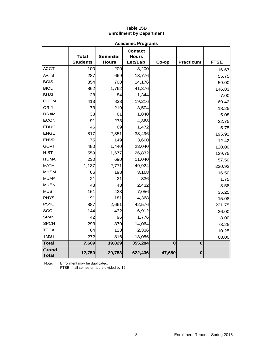# **Table 15B Enrollment by Department**

|                | <b>Academic Programs</b>        |                          |                                           |          |                  |             |  |  |
|----------------|---------------------------------|--------------------------|-------------------------------------------|----------|------------------|-------------|--|--|
|                | <b>Total</b><br><b>Students</b> | Semester<br><b>Hours</b> | <b>Contact</b><br><b>Hours</b><br>Lec/Lab | Co-op    | <b>Practicum</b> | <b>FTSE</b> |  |  |
| <b>ACCT</b>    | 100                             | 200                      | 3,200                                     |          |                  | 16.67       |  |  |
| <b>ARTS</b>    | 287                             | 669                      | 13,776                                    |          |                  | 55.75       |  |  |
| <b>BCIS</b>    | 354                             | 708                      | 14,176                                    |          |                  | 59.00       |  |  |
| <b>BIOL</b>    | 862                             | 1,762                    | 41,376                                    |          |                  | 146.83      |  |  |
| <b>BUSI</b>    | 28                              | 84                       | 1,344                                     |          |                  | 7.00        |  |  |
| <b>CHEM</b>    | 413                             | 833                      | 19,216                                    |          |                  | 69.42       |  |  |
| CRIJ           | 73                              | 219                      | 3,504                                     |          |                  | 18.25       |  |  |
| <b>DRAM</b>    | 33                              | 61                       | 1,840                                     |          |                  | 5.08        |  |  |
| <b>ECON</b>    | 91                              | 273                      | 4,368                                     |          |                  | 22.75       |  |  |
| <b>EDUC</b>    | 46                              | 69                       | 1,472                                     |          |                  | 5.75        |  |  |
| <b>ENGL</b>    | 817                             | 2,351                    | 38,496                                    |          |                  | 195.92      |  |  |
| <b>ENVR</b>    | 75                              | 149                      | 3,600                                     |          |                  | 12.42       |  |  |
| <b>GOVT</b>    | 480                             | 1,440                    | 23,040                                    |          |                  | 120.00      |  |  |
| <b>HIST</b>    | 559                             | 1,677                    | 26,832                                    |          |                  | 139.75      |  |  |
| <b>HUMA</b>    | 230                             | 690                      | 11,040                                    |          |                  | 57.50       |  |  |
| <b>MATH</b>    | 1,137                           | 2,771                    | 49,924                                    |          |                  | 230.92      |  |  |
| <b>MHSM</b>    | 66                              | 198                      | 3,168                                     |          |                  | 16.50       |  |  |
| <b>MUAP</b>    | 21                              | 21                       | 336                                       |          |                  | 1.75        |  |  |
| <b>MUEN</b>    | 43                              | 43                       | 2,432                                     |          |                  | 3.58        |  |  |
| <b>MUSI</b>    | 161                             | 423                      | 7,056                                     |          |                  | 35.25       |  |  |
| <b>PHYS</b>    | 91                              | 181                      | 4,368                                     |          |                  | 15.08       |  |  |
| <b>PSYC</b>    | 887                             | 2,661                    | 42,576                                    |          |                  | 221.75      |  |  |
| SOCI           | 144                             | 432                      | 6,912                                     |          |                  | 36.00       |  |  |
| <b>SPAN</b>    | 42                              | 96                       | 1,776                                     |          |                  | 8.00        |  |  |
| <b>SPCH</b>    | 293                             | 879                      | 14,064                                    |          |                  | 73.25       |  |  |
| <b>TECA</b>    | 64                              | 123                      | 2,336                                     |          |                  | 10.25       |  |  |
| <b>TMGT</b>    | 272                             | 816                      | 13,056                                    |          |                  | 68.00       |  |  |
| <b>Total</b>   | 7,669                           | 19,829                   | 355,284                                   | $\bf{0}$ | $\bf{0}$         |             |  |  |
| Grand<br>Total | 12,750                          | 29,753                   | 622,436                                   | 47,680   | $\bf{0}$         |             |  |  |

Note: Enrollment may be duplicated.

FTSE = fall semester hours divided by 12.